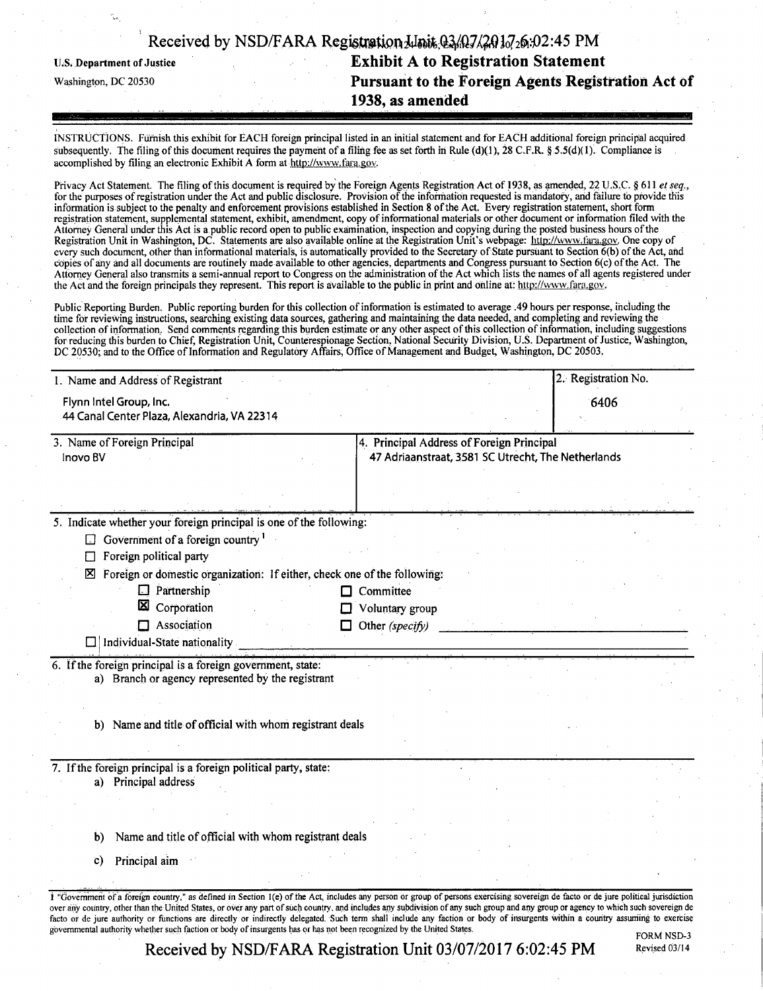|                            | Received by NSD/FARA Registration <i>Julait</i> 03/07/20107 <sub>20</sub> :02:45 PM |  |
|----------------------------|-------------------------------------------------------------------------------------|--|
| U.S. Department of Justice | <b>Exhibit A to Registration Statement</b>                                          |  |
| Washington, DC 20530       | Pursuant to the Foreign Agents Registration Act of                                  |  |
|                            | 1938, as amended                                                                    |  |

INSTRUCTIONS. Furnish this exhibit for EACH foreign principal listed in an initial statement and for EACH additional foreign principal acquired subsequently. The filing of this document requires the payment of a filing fee as set forth in Rule (d)(1), 28 C.F.R. § 5.5(d)(1). Compliance is accomplished by filing an electronic Exhibit A form at http://www.fara.gov.

Privacy Act Statement. The filing of this document is required by the Foreign Agents Registration Act of 1938, as amended, 22 U.S.C. § 611 et seq., for the purposes of registration under the Act and public disclosure. Provision of the information requested is mandatory, and failure to provide this information is subject to the penalty and enforcement provisions established in Section 8 ofthe Act. Every registration statement, short form registration statement, supplemental statement, exhibit, amendment, copy of informational materials or other document or information filed with the Attorney General under this Act is a public record open to public examination, inspection and copying during the posted business hours of the Registration Unit in Washington, DC. Statements are also available online at the Registration Unit's webpage: http://www.fara.gov. One copy of every such document, other than informational materials, is automatically provided to the Secretary of State pursuant to Section 6(b) of the Act, and copies of any and all documents are routinely made available to other agencies, departments and Congress pursuant to Section 6(c) of the Act. The Attorney General also transmits a semi-annual report to Congress on the administration of the Act which lists the names of all agents registered under the Act and the foreign principals they represent. This report is available to the public in print and online at: http://www.fara.gov.

Public Reporting Burden. Public reporting burden for this collection of information is estimated to average .49 hours per response, including the time for reviewing instructions, searching existing data sources, gathering and maintaining the data needed, and completing and reviewing the collection of information. Send comments regarding this burden estimate or any other aspect of this collection of information, including suggestions for reducing this burden to Chief, Registration Unit, Counterespionage Section, National Security Division, U.S. Department of Justice, Washington, DC 20530; and to the Office of Information and Regulatory Affairs, Office of Management and Budget, Washington, DC 20503.

| 1. Name and Address of Registrant                                                                                |                                                                                                 | 2. Registration No. |  |
|------------------------------------------------------------------------------------------------------------------|-------------------------------------------------------------------------------------------------|---------------------|--|
| Flynn Intel Group, Inc.                                                                                          |                                                                                                 | 6406                |  |
| 44 Canal Center Plaza, Alexandria, VA 22314                                                                      |                                                                                                 |                     |  |
| 3. Name of Foreign Principal<br>Inovo BV                                                                         | 4. Principal Address of Foreign Principal<br>47 Adriaanstraat, 3581 SC Utrecht, The Netherlands |                     |  |
|                                                                                                                  |                                                                                                 |                     |  |
| 5. Indicate whether your foreign principal is one of the following:                                              |                                                                                                 |                     |  |
| Government of a foreign country <sup>1</sup>                                                                     |                                                                                                 |                     |  |
| Foreign political party<br>П                                                                                     |                                                                                                 |                     |  |
| Foreign or domestic organization: If either, check one of the following:<br>⊠                                    |                                                                                                 |                     |  |
| $\Box$ Partnership                                                                                               | Committee                                                                                       |                     |  |
| 図<br>Corporation                                                                                                 | Voluntary group                                                                                 |                     |  |
| $\Box$ Association                                                                                               | Other (specify)<br>□                                                                            |                     |  |
| Individual-State nationality                                                                                     |                                                                                                 |                     |  |
| 6. If the foreign principal is a foreign government, state:<br>a) Branch or agency represented by the registrant |                                                                                                 |                     |  |
| b) Name and title of official with whom registrant deals                                                         |                                                                                                 |                     |  |
| 7. If the foreign principal is a foreign political party, state:                                                 |                                                                                                 |                     |  |
| a) Principal address                                                                                             |                                                                                                 |                     |  |
|                                                                                                                  |                                                                                                 |                     |  |
|                                                                                                                  |                                                                                                 |                     |  |
|                                                                                                                  |                                                                                                 |                     |  |
| Name and title of official with whom registrant deals<br>b)                                                      |                                                                                                 |                     |  |
| Principal aim<br>$\mathbf{c})$                                                                                   |                                                                                                 |                     |  |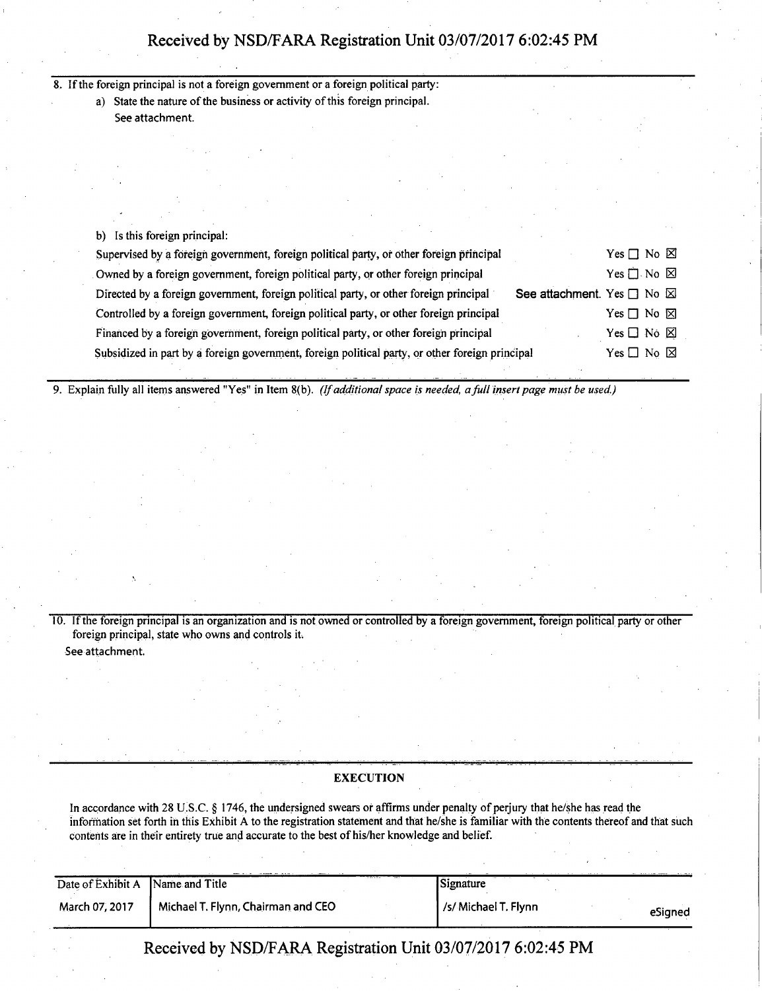8. If the foreign principal is not a foreign government or a foreign political party:

a) State the nature of the business or activity of this foreign principal. See attachment.

b) Is this foreign principal:

| Supervised by a foreign government, foreign political party, or other foreign principal                             | Yes $\Box$ No $\boxtimes$  |  |
|---------------------------------------------------------------------------------------------------------------------|----------------------------|--|
| Owned by a foreign government, foreign political party, or other foreign principal                                  | Yes $\Box$ No $\boxtimes$  |  |
| See attachment. Yes □ No ⊠<br>Directed by a foreign government, foreign political party, or other foreign principal |                            |  |
| Controlled by a foreign government, foreign political party, or other foreign principal                             | Yes $\Box$ No $\boxtimes$  |  |
| Financed by a foreign government, foreign political party, or other foreign principal                               | Yes $\Box$ No $\boxtimes$  |  |
| Subsidized in part by a foreign government, foreign political party, or other foreign principal                     | Yes $\square$ No $\square$ |  |

*9. Explain fully all items answered "Yes" in Item 8(b). (If additional space is needed, a full insert page must be used.)* 

10. If the foreign principal is an organization and is not owned or controlled by a foreign government, foreign political party or other foreign principal, state who owns and controls it. See attachment.

# **EXECUTION**

In accordance with 28 U.S.C. § 1746, the undersigned swears or affirms under penalty of perjury that he/she has read the information set forth in this Exhibit A to the registration statement and that he/she is familiar with the contents thereof and that such contents are in their entirety true and accurate to the best of his/her knowledge and belief.

| Date of Exhibit A Name and Title |                                    | Signature            |         |
|----------------------------------|------------------------------------|----------------------|---------|
| March 07, 2017                   | Michael T. Flynn, Chairman and CEO | /s/ Michael T. Flynn | eSigned |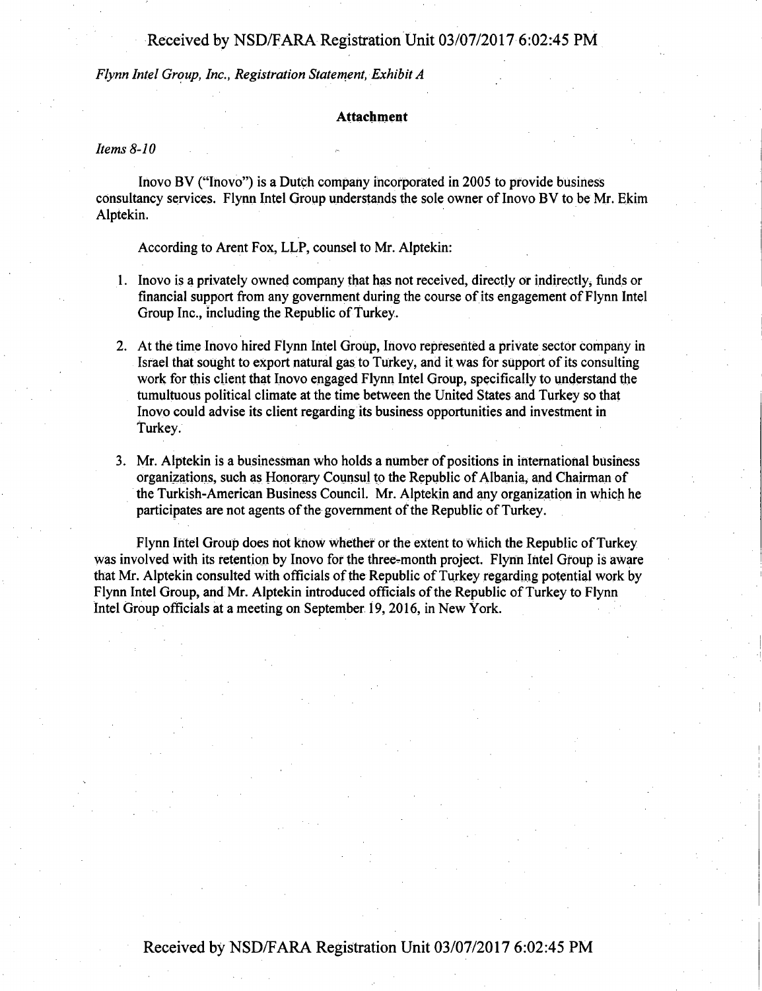*Flynn Intel Group, Inc., Registration Statement, Exhibit A* 

# Attachment

Items  $8-10$ 

Inovo BV ("Inovo") is a Dutch company incorporated in 2005 to provide business consultancy services. Flynn Intel Group understands the sole owner of Inovo BV to be Mr. Ekim Alptekin.

According to Arent Fox, LLP, counsel to Mr. Alptekin:

- 1. Inovo is a privately owned company that has not received, directly or indirectly^ funds or financial support from any government during the course of its engagement of Flynn Intel Group Inc., including the Republic of Turkey.
- 2. At the time Inovo hired Flynn Intel Group, Inovo represented a private sector company in Israel that sought to export natural gas to Turkey, and it was for support of its consulting work for this client that Inovo engaged Flynn Intel Group, specifically to understand the tumultuous political climate at the time between the United States and Turkey so that Inovo could advise its client regarding its business opportunities and investment in Turkey.
- 3. Mr. Alptekin is a businessman who holds a number of positions in international business organizations, such as Honorary Counsul to the Republic of Albania, and Chairman of the Turkish-American Business Council. Mr. Alptekin and any organization in which he participates are not agents of the government of the Republic of Turkey.

Flynn Intel Group does not know whether or the extent to Which the Republic of Turkey was involved with its retention by Inovo for the three-month project. Flyrih Intel Group is aware that Mr. Alptekin consulted with officials of the Republic of Turkey regarding potential work by Flynn Intel Group, and Mr. Alptekin introduced officials of the Republic of Turkey to Flynn Intel Group officials at a meeting on September 19, 2016, in New York.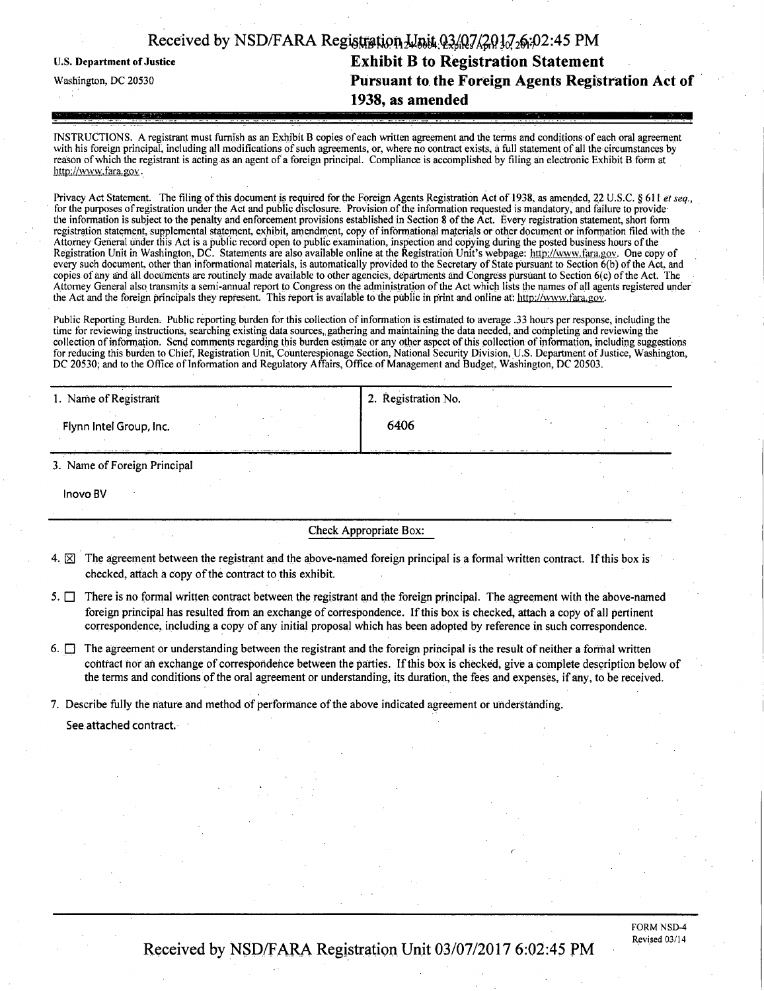|                            | Received by NSD/FARA Registration $\frac{1}{4}$ pit $(2\frac{1}{2})\left(\frac{2}{2}\right)\left(\frac{1}{2}\right)$ (2:45 PM |
|----------------------------|-------------------------------------------------------------------------------------------------------------------------------|
| U.S. Department of Justice | <b>Exhibit B to Registration Statement</b>                                                                                    |
| Washington, DC 20530       | Pursuant to the Foreign Agents Registration Act of                                                                            |
|                            | 1938, as amended                                                                                                              |

INSTRUCTIONS. A registrant must fumish as an Exhibit B copies of each written agreement and the terms and conditions of each oral agreement with his foreign principal, including all modifications of such agreements, or, where no contract exists, a full statement of all the circumstances by reason of which the registrant is acting as an agent of a foreign principal. Compliance is accomplished by filing an electronic Exhibit B form at http://www.fara.gov.

Privacy Act Statement. The filing of this document is required for the Foreign Agents Registration Act of 1938, as amended, 22 U.S.C. § 611 et seq., for the purposes of registration under the Act and public disclosure. Provision of the information requested is mandatory, and failure to provide tlie information is subject to the penalty and enforcement provisions established in Section 8 of the Act. Every registration statement, short form registration statement, supplemental statement, exhibit, amendment, copy of informational materials or other document or information filed with the Attorney General under this Act is a public record open to public examination, inspection and copying during the posted business hours ofthe Registration Unit in Washington, DC. Statements are also available online at the Registration Unit's webpage: http://www.fara.gov. One copy of every such document, other than infonnational materials, is automatically provided to the Secretary of State pursuant to Section 6(b) ofthe Act, and copies of any and all documents are routinely made available to other agencies, departments and Congress pursuant to Section 6(c) of the Act. The Attorney General also transmits a semi-annual report to Congress on the administration of the Act which lists the names of all agents registered under the Act and the foreign principals they represent. This report is available to the public in print and online at: http://www.fara.gov.

Public Reporting Burden. Public reporting burden for this collection of information is estimated to average .33 hours per response, including the time for reviewing instructions, searching existing data sources, gathering and maintaining the data needed, and completing and reviewing the collection of information. Send comments regarding this burden estimate or any other aspect of this collection of information, including suggestions for reducing this burden to Chief, Registration Unit, Counterespionage Section, National Security Division, U.S. Department of Justice, Washington, DC 20530; and to the Office of Information and Regulatory Affairs, Office of Management and Budget, Washington, DC 20503.

| 1. Name of Registrant             | 2. Registration No. |  |  |  |  |
|-----------------------------------|---------------------|--|--|--|--|
| Flynn Intel Group, Inc.           | 6406                |  |  |  |  |
| .<br>3. Name of Foreign Principal |                     |  |  |  |  |
| Inovo BV                          |                     |  |  |  |  |

Check Appropriate Box:

- 4.  $\boxtimes$  The agreement between the registrant and the above-named foreign principal is a formal written contract. If this box is checked, attach a copy of the contract to this exhibit.
- 5.  $\Box$  There is no formal written contract between the registrant and the foreign principal. The agreement with the above-named foreign principal has resulted from an exchange of correspondence. If this box is checked, attach a copy of all pertinent correspondence, including a copy of any initial proposal which has been adopted by reference in such correspondence.
- 6.  $\Box$  The agreement or understanding between the registrant and the foreign principal is the result of neither a formal written contract nor an exchange of correspondence between the parties. If this box is checked, give a complete description below of the terms and conditions of the oral agreement or understanding, its duration, the fees and expenses, if any, to be received.

7. Describe fully the nature and method of performance of the above indicated agreement or understanding.

See attached contract.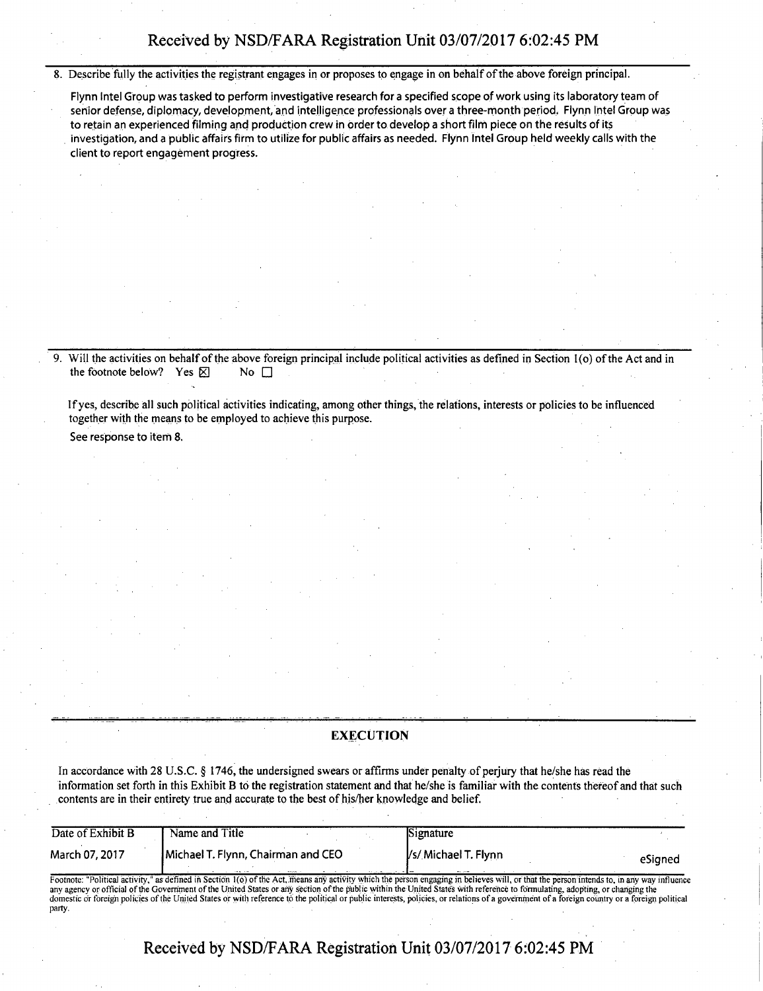8. Describe fully the activities the registrant engages in or proposes to engage in on behalf of the above foreign principal.

Flynn Intel Group was tasked to perform investigative research for a specified scope of work using its laboratory team of senior defense, diplomacy, development, and intelligence professionals over a three-month period. Flynn Intel Group was to retain an experienced filming and production crew in order to develop a short film piece on the results of its investigation, and a public affairs firm to utilize for public affairs as needed. Flynn Intel Group held weekly calls with the client to report engagement progress.

9. Will the activities on behalf of the above foreign principal include political activities as defined in Section l(o) of the Act and in the footnote below? Yes  $\boxtimes$  No  $\Box$ 

Ifyes, describe all such political activities indicating, among other things, the relations, interests or policies to be influenced together with the means to be employed to achieve this purpose.

See response to item 8.

## **EXECUTION**

In accordance with 28 U.S.C. § 1746, the undersigned swears or affirms under penalty of perjury that he/she has read the information set forth in this Exhibit B to the registration statement and that he/she is familiar with the contents thereof and that such contents are in their entirety true and accurate to the best of his/her knowledge and belief.

| Date of Exhibit B | Name and Title                     | <b>Signature</b>    |         |
|-------------------|------------------------------------|---------------------|---------|
| March 07, 2017    | Michael T. Flynn, Chairman and CEO | Vs/Michael T. Flynn | eSianed |

Footnote: "Political activity," as defined in Section 1(6) of the Act.means any activity which the person engaging in believes will, or that the person intends to, in any way influence any agency or official of the Government of the United States or any section ofthe public within the United States with reference to formulating, adopting, or changing the domestic or foreign policies of the United States or with reference to the political or public interests, policies, or relations of a government of a foreign country or a foreign political party.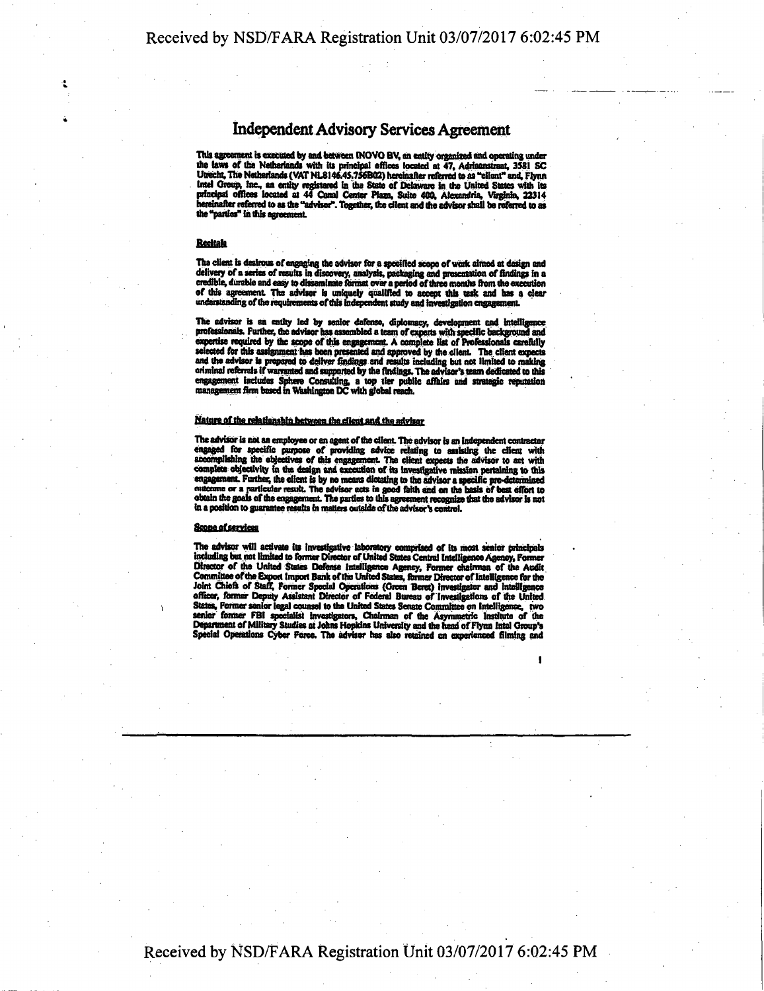# **Independent Advisory Services Agreement**

This agreement is executed by and between INOVO BV, an entity organized and operating under<br>the laws of the Netherlands with its principal offices located at 47, Adriaanstraat, 3581 SC<br>Utrecht, The Netherlands (VAT NL8146. Intel Group, Inc., an entity registered in the State of Delaware in the United States with its principal offices located at 44 Canal Center Plaza, Suite 400, Alexandria, Virginia, 22314 hereinafter referred to as the "advi the "partles" in this agreement.

## Redtah

The client is desirous of engaging the advisor for a specified scope of wok aimed at design and delivery of a series of results in discovery, analysis, packaging and presentation of findings in a credible, durable and easy to disseminate format over a period of three months from the execution of this agreement. The advisor is uniquely qualified to accept this task and has a clear understanding of the requirements of this independent study and investigation engagement.

The advisor is an entity led by senior defense, diplomacy, development and intelligence professionals. Further, the advisor has assembled a team of experts with specific background and expertise required by the scope of th

## Nature of the relationship between the client and the advisor

The advisor is not an employee or an agent of the cilent. The advisor is an independent contractor engaged for specific purpose of providing advice relating to easisting the client with accomplishing the objectives of this engagement. The client expects the advisor to act with complete objectivity in the design and exec

## Scone of services

The advisor wttl activate its Investigative laboratory comprised of its most senior principals including but not limited to former Director of United States Central intelligence Agency, Former Director of the United States Defense Intelligence Agency, Former chairman of the Audit Committee of the Export import Bank of the United States, former Director of Intelligence for the Joint Chiefs of Staff, Former Specia

**I**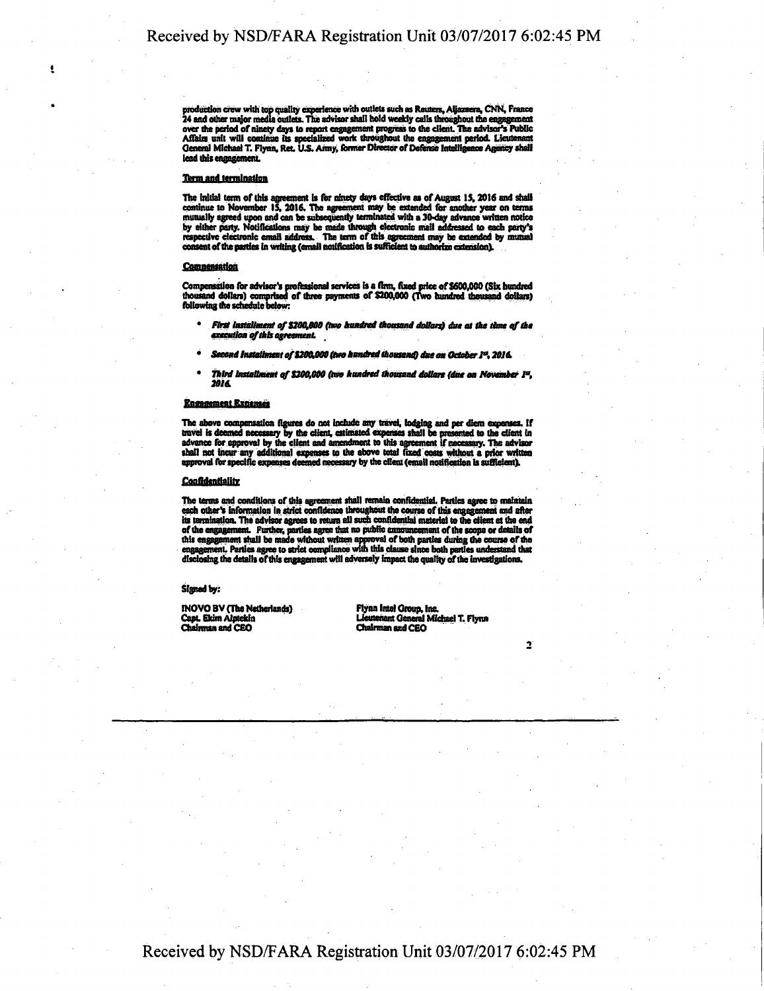production crew with top quality experience with outlets such as Reuters, Aljazeera, CNN, France<br>24 and other major media outlets. The advisor shall hold weekly calls throughout the engagement over the period of ninety days to report engagement progress to the client. The advisor's Public Affairs unit will continue its specialized work throughout the engagement period. Lieutenant General Michael T. Flynn, Ret. U **lead this engagement.** 

## **Term and termination**

**The initial term of this agreement is fbr ninety days effective as of August IS, 2016 and shall**  continue to November 15, 2016. The agreement may be extended for another year on terms mutually agreed upon and can be subsequently terminated with a 30-day advance written notice by either party. Notificiations may be ext

#### **Compensation**

**Compensation for advisor's professional services is a firm, fixed price of S6Q0,00O (Six hundred thousand dollars) comprised of three payments of \$204000 (Two hundred thousand dotlais) following die schedule below:** 

- First installment of \$200,000 (two hundred thousand dollars) due at the time of the *txtcuthnofthbagrtsmenL*
- Second Installment of \$200,000 (two hundred thousand) due on October 1<sup>0</sup>, 2016.
- \* Third installment of \$200,000 (two hundred thousand dollars (due on November 1<sup>2</sup>,<br>2016.

#### *Engagement Expenses*

The above compensation figures do not include any travel, lodging and per diem expenses. If travel is deemed necessary by the client, estimated expenses shall be presented to the client in anomaly and transformed for appro

#### **Confidentiality**

The terms and conditions of this agreement shall remain confidential. Parties agree to malatain each other's information in strict confidence throughout the course of this engagement and after its termination. The advisor **disclosing the details of this engagement will adversely impact the quality ofthe investigations.** 

## **Sighed by:**

**INOVO BV (The Netherlands) Flynn Intel Group, Inc. Capt. Ekim Alptekin**<br> **Chairman and CEO** Chairman and CEO Chairman and CEO

Capt. Ekim Alptekin **Michael T. Flynn** 

 $\overline{2}$